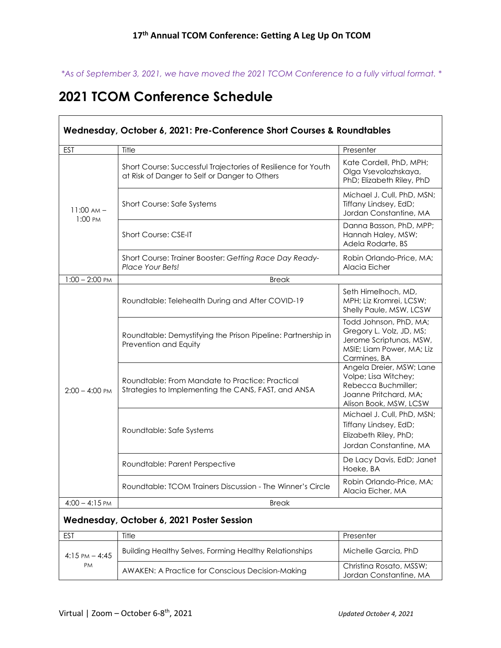*\*As of September 3, 2021, we have moved the 2021 TCOM Conference to a fully virtual format. \**

## **2021 TCOM Conference Schedule**

 $\Box$ 

| Wednesday, October 6, 2021: Pre-Conference Short Courses & Roundtables |                                                                                                                |                                                                                                                            |  |  |
|------------------------------------------------------------------------|----------------------------------------------------------------------------------------------------------------|----------------------------------------------------------------------------------------------------------------------------|--|--|
| <b>EST</b>                                                             | Title                                                                                                          | Presenter                                                                                                                  |  |  |
| $11:00 AM -$<br>1:00 PM                                                | Short Course: Successful Trajectories of Resilience for Youth<br>at Risk of Danger to Self or Danger to Others | Kate Cordell, PhD, MPH;<br>Olga Vsevolozhskaya,<br>PhD; Elizabeth Riley, PhD                                               |  |  |
|                                                                        | Short Course: Safe Systems                                                                                     | Michael J. Cull, PhD, MSN;<br>Tiffany Lindsey, EdD;<br>Jordan Constantine, MA                                              |  |  |
|                                                                        | <b>Short Course: CSE-IT</b>                                                                                    | Danna Basson, PhD, MPP;<br>Hannah Haley, MSW;<br>Adela Rodarte, BS                                                         |  |  |
|                                                                        | Short Course: Trainer Booster: Getting Race Day Ready-<br>Place Your Bets!                                     | Robin Orlando-Price, MA;<br>Alacia Eicher                                                                                  |  |  |
| $1:00 - 2:00$ PM                                                       | <b>Break</b>                                                                                                   |                                                                                                                            |  |  |
| $2:00 - 4:00$ PM                                                       | Roundtable: Telehealth During and After COVID-19                                                               | Seth Himelhoch, MD,<br>MPH; Liz Kromrei, LCSW;<br>Shelly Paule, MSW, LCSW                                                  |  |  |
|                                                                        | Roundtable: Demystifying the Prison Pipeline: Partnership in<br>Prevention and Equity                          | Todd Johnson, PhD, MA;<br>Gregory L. Volz, JD, MS;<br>Jerome Scriptunas, MSW,<br>MSIE; Liam Power, MA; Liz<br>Carmines, BA |  |  |
|                                                                        | Roundtable: From Mandate to Practice: Practical<br>Strategies to Implementing the CANS, FAST, and ANSA         | Angela Dreier, MSW; Lane<br>Volpe; Lisa Witchey;<br>Rebecca Buchmiller;<br>Joanne Pritchard, MA;<br>Alison Book, MSW, LCSW |  |  |
|                                                                        | Roundtable: Safe Systems                                                                                       | Michael J. Cull, PhD, MSN;<br>Tiffany Lindsey, EdD;<br>Elizabeth Riley, PhD;<br>Jordan Constantine, MA                     |  |  |
|                                                                        | Roundtable: Parent Perspective                                                                                 | De Lacy Davis, EdD; Janet<br>Hoeke, BA                                                                                     |  |  |
|                                                                        | Roundtable: TCOM Trainers Discussion - The Winner's Circle                                                     | Robin Orlando-Price, MA;<br>Alacia Eicher, MA                                                                              |  |  |
| $4:00 - 4:15$ PM                                                       | <b>Break</b>                                                                                                   |                                                                                                                            |  |  |
|                                                                        | Wednesday, October 6, 2021 Poster Session                                                                      |                                                                                                                            |  |  |
| <b>EST</b>                                                             | Title                                                                                                          | Presenter                                                                                                                  |  |  |
| $4:15$ PM $-4:45$<br>PM                                                | Building Healthy Selves, Forming Healthy Relationships                                                         | Michelle Garcia, PhD                                                                                                       |  |  |
|                                                                        | <b>AWAKEN: A Practice for Conscious Decision-Making</b>                                                        | Christina Rosato, MSSW;                                                                                                    |  |  |

Jordan Constantine, MA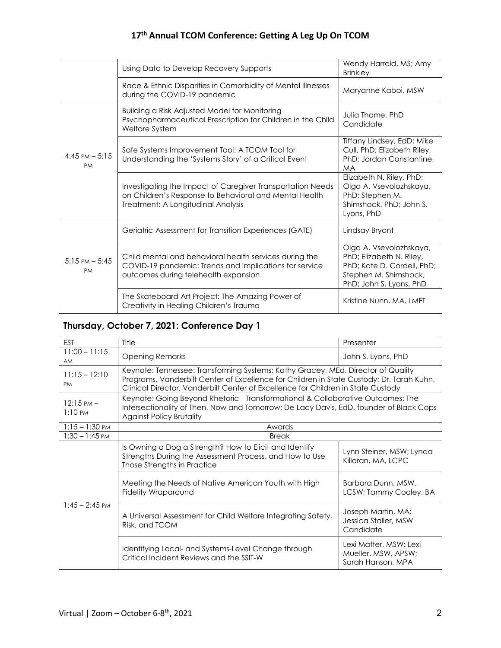### **17th Annual TCOM Conference: Getting A Leg Up On TCOM**

|                                       | Using Data to Develop Recovery Supports                                                                                                                    | Wendy Harrold, MS; Amy<br><b>Brinkley</b>                                                                                             |
|---------------------------------------|------------------------------------------------------------------------------------------------------------------------------------------------------------|---------------------------------------------------------------------------------------------------------------------------------------|
|                                       | Race & Ethnic Disparities in Comorbidity of Mental Illnesses<br>during the COVID-19 pandemic                                                               | Maryanne Kaboi, MSW                                                                                                                   |
| $4:45 \text{ PM} - 5:15$<br><b>PM</b> | Building a Risk Adjusted Model for Monitoring<br>Psychopharmaceutical Prescription for Children in the Child<br>Welfare System                             | Julia Thome, PhD<br>Candidate                                                                                                         |
|                                       | Safe Systems Improvement Tool: A TCOM Tool for<br>Understanding the 'Systems Story' of a Critical Event                                                    | Tiffany Lindsey, EdD; Mike<br>Cull, PhD; Elizabeth Riley,<br>PhD; Jordan Constantine,<br><b>MA</b>                                    |
|                                       | Investigating the Impact of Caregiver Transportation Needs<br>on Children's Response to Behavioral and Mental Health<br>Treatment: A Longitudinal Analysis | Elizabeth N. Riley, PhD;<br>Olga A. Vsevolozhskaya,<br>PhD; Stephen M.<br>Shimshock, PhD; John S.<br>Lyons, PhD                       |
| $5:15 \text{ PM} - 5:45$<br><b>PM</b> | Geriatric Assessment for Transition Experiences (GATE)                                                                                                     | Lindsay Bryant                                                                                                                        |
|                                       | Child mental and behavioral health services during the<br>COVID-19 pandemic: Trends and implications for service<br>outcomes during telehealth expansion   | Olga A. Vsevolozhskaya,<br>PhD; Elizabeth N. Riley,<br>PhD; Kate D. Cordell, PhD;<br>Stephen M. Shimshock,<br>PhD; John S. Lyons, PhD |
|                                       | The Skateboard Art Project: The Amazing Power of<br>Creativity in Healing Children's Trauma                                                                | Kristine Nunn, MA, LMFT                                                                                                               |

# **Thursday, October 7, 2021: Conference Day 1**

| <b>EST</b>                                | Title                                                                                                                                                                                                                                                            | Presenter                                                          |  |
|-------------------------------------------|------------------------------------------------------------------------------------------------------------------------------------------------------------------------------------------------------------------------------------------------------------------|--------------------------------------------------------------------|--|
| $11:00 - 11:15$<br><b>AM</b>              | <b>Opening Remarks</b>                                                                                                                                                                                                                                           | John S. Lyons, PhD                                                 |  |
| $11:15 - 12:10$<br><b>PM</b>              | Keynote: Tennessee: Transforming Systems; Kathy Gracey, MEd, Director of Quality<br>Programs, Vanderbilt Center of Excellence for Children in State Custody; Dr. Tarah Kuhn,<br>Clinical Director, Vanderbilt Center of Excellence for Children in State Custody |                                                                    |  |
| $12:15 \text{ PM} -$<br>$1:10 \text{ PM}$ | Keynote: Going Beyond Rhetoric - Transformational & Collaborative Outcomes: The<br>Intersectionality of Then, Now and Tomorrow; De Lacy Davis, EdD, founder of Black Cops<br><b>Against Policy Brutality</b>                                                     |                                                                    |  |
| $1:15 - 1:30$ PM                          | Awards                                                                                                                                                                                                                                                           |                                                                    |  |
| $1:30 - 1:45$ PM                          | <b>Break</b>                                                                                                                                                                                                                                                     |                                                                    |  |
| $1:45 - 2:45$ PM                          | Is Owning a Dog a Strength? How to Elicit and Identify<br>Strengths During the Assessment Process, and How to Use<br>Those Strengths in Practice                                                                                                                 | Lynn Steiner, MSW; Lynda<br>Killoran, MA, LCPC                     |  |
|                                           | Meeting the Needs of Native American Youth with High<br><b>Fidelity Wraparound</b>                                                                                                                                                                               | Barbara Dunn, MSW,<br>LCSW; Tammy Cooley, BA                       |  |
|                                           | A Universal Assessment for Child Welfare Integrating Safety,<br>Risk, and TCOM                                                                                                                                                                                   | Joseph Martin, MA;<br>Jessica Staller, MSW<br>Candidate            |  |
|                                           | Identifying Local- and Systems-Level Change through<br>Critical Incident Reviews and the SSIT-W                                                                                                                                                                  | Lexi Matter, MSW; Lexi<br>Mueller, MSW, APSW;<br>Sarah Hanson, MPA |  |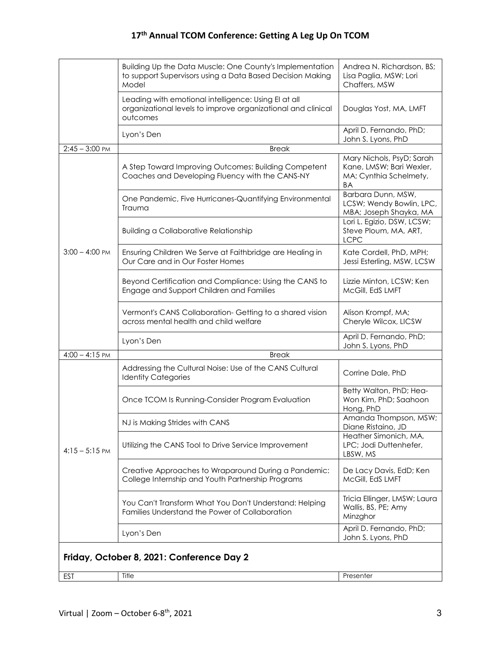### **17th Annual TCOM Conference: Getting A Leg Up On TCOM**

|                                           | Building Up the Data Muscle: One County's Implementation<br>to support Supervisors using a Data Based Decision Making<br>Model   | Andrea N. Richardson, BS;<br>Lisa Paglia, MSW; Lori<br>Chaffers, MSW                  |  |
|-------------------------------------------|----------------------------------------------------------------------------------------------------------------------------------|---------------------------------------------------------------------------------------|--|
|                                           | Leading with emotional intelligence: Using El at all<br>organizational levels to improve organizational and clinical<br>outcomes | Douglas Yost, MA, LMFT                                                                |  |
| $2:45 - 3:00$ PM                          | Lyon's Den<br><b>Break</b>                                                                                                       | April D. Fernando, PhD;<br>John S. Lyons, PhD                                         |  |
|                                           | A Step Toward Improving Outcomes: Building Competent<br>Coaches and Developing Fluency with the CANS-NY                          | Mary Nichols, PsyD; Sarah<br>Kane, LMSW; Bari Wexler,<br>MA; Cynthia Schelmety,<br>ΒA |  |
| $3:00 - 4:00$ PM                          | One Pandemic, Five Hurricanes-Quantifying Environmental<br>Trauma                                                                | Barbara Dunn, MSW,<br>LCSW; Wendy Bowlin, LPC,<br>MBA; Joseph Shayka, MA              |  |
|                                           | <b>Building a Collaborative Relationship</b>                                                                                     | Lori L. Egizio, DSW, LCSW;<br>Steve Ploum, MA, ART,<br><b>LCPC</b>                    |  |
|                                           | Ensuring Children We Serve at Faithbridge are Healing in<br>Our Care and in Our Foster Homes                                     | Kate Cordell, PhD, MPH;<br>Jessi Esterling, MSW, LCSW                                 |  |
|                                           | Beyond Certification and Compliance: Using the CANS to<br>Engage and Support Children and Families                               | Lizzie Minton, LCSW; Ken<br>McGill, EdS LMFT                                          |  |
|                                           | Vermont's CANS Collaboration- Getting to a shared vision<br>across mental health and child welfare                               | Alison Krompf, MA;<br>Cheryle Wilcox, LICSW                                           |  |
|                                           | Lyon's Den                                                                                                                       | April D. Fernando, PhD;<br>John S. Lyons, PhD                                         |  |
| $4:00 - 4:15$ PM                          | <b>Break</b>                                                                                                                     |                                                                                       |  |
| $4:15 - 5:15$ PM                          | Addressing the Cultural Noise: Use of the CANS Cultural<br><b>Identity Categories</b>                                            | Corrine Dale, PhD                                                                     |  |
|                                           | Once TCOM Is Running-Consider Program Evaluation                                                                                 | Betty Walton, PhD; Hea-<br>Won Kim, PhD; Saahoon<br>Hong, PhD                         |  |
|                                           | NJ is Making Strides with CANS                                                                                                   | Amanda Thompson, MSW;<br>Diane Ristaino, JD                                           |  |
|                                           | Utilizing the CANS Tool to Drive Service Improvement                                                                             | Heather Simonich, MA,<br>LPC; Jodi Duttenhefer,<br>LBSW, MS                           |  |
|                                           | Creative Approaches to Wraparound During a Pandemic:<br>College Internship and Youth Partnership Programs                        | De Lacy Davis, EdD; Ken<br>McGill, EdS LMFT                                           |  |
|                                           | You Can't Transform What You Don't Understand: Helping<br>Families Understand the Power of Collaboration                         | Tricia Ellinger, LMSW; Laura<br>Wallis, BS, PE; Amy<br>Minzghor                       |  |
|                                           | Lyon's Den                                                                                                                       | April D. Fernando, PhD;<br>John S. Lyons, PhD                                         |  |
| Friday, October 8, 2021: Conference Day 2 |                                                                                                                                  |                                                                                       |  |
| <b>EST</b>                                | Title                                                                                                                            | Presenter                                                                             |  |